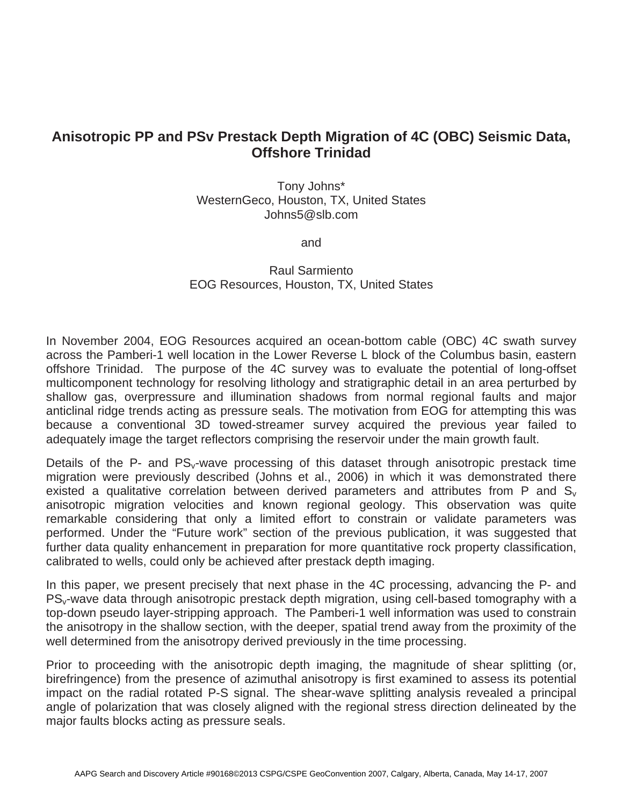# **Anisotropic PP and PSv Prestack Depth Migration of 4C (OBC) Seismic Data, Offshore Trinidad**

Tony Johns\* WesternGeco, Houston, TX, United States Johns5@slb.com

and

Raul Sarmiento EOG Resources, Houston, TX, United States

In November 2004, EOG Resources acquired an ocean-bottom cable (OBC) 4C swath survey across the Pamberi-1 well location in the Lower Reverse L block of the Columbus basin, eastern offshore Trinidad. The purpose of the 4C survey was to evaluate the potential of long-offset multicomponent technology for resolving lithology and stratigraphic detail in an area perturbed by shallow gas, overpressure and illumination shadows from normal regional faults and major anticlinal ridge trends acting as pressure seals. The motivation from EOG for attempting this was because a conventional 3D towed-streamer survey acquired the previous year failed to adequately image the target reflectors comprising the reservoir under the main growth fault.

Details of the P- and  $PS_v$ -wave processing of this dataset through anisotropic prestack time migration were previously described (Johns et al., 2006) in which it was demonstrated there existed a qualitative correlation between derived parameters and attributes from P and  $S_v$ anisotropic migration velocities and known regional geology. This observation was quite remarkable considering that only a limited effort to constrain or validate parameters was performed. Under the "Future work" section of the previous publication, it was suggested that further data quality enhancement in preparation for more quantitative rock property classification, calibrated to wells, could only be achieved after prestack depth imaging.

In this paper, we present precisely that next phase in the 4C processing, advancing the P- and PS<sub>v</sub>-wave data through anisotropic prestack depth migration, using cell-based tomography with a top-down pseudo layer-stripping approach. The Pamberi-1 well information was used to constrain the anisotropy in the shallow section, with the deeper, spatial trend away from the proximity of the well determined from the anisotropy derived previously in the time processing.

Prior to proceeding with the anisotropic depth imaging, the magnitude of shear splitting (or, birefringence) from the presence of azimuthal anisotropy is first examined to assess its potential impact on the radial rotated P-S signal. The shear-wave splitting analysis revealed a principal angle of polarization that was closely aligned with the regional stress direction delineated by the major faults blocks acting as pressure seals.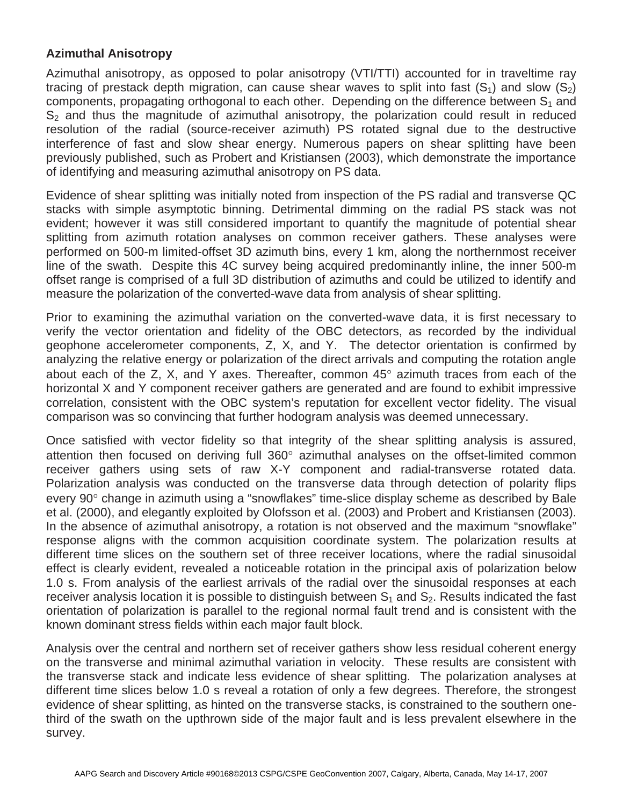### **Azimuthal Anisotropy**

Azimuthal anisotropy, as opposed to polar anisotropy (VTI/TTI) accounted for in traveltime ray tracing of prestack depth migration, can cause shear waves to split into fast  $(S_1)$  and slow  $(S_2)$ components, propagating orthogonal to each other. Depending on the difference between  $S_1$  and  $S<sub>2</sub>$  and thus the magnitude of azimuthal anisotropy, the polarization could result in reduced resolution of the radial (source-receiver azimuth) PS rotated signal due to the destructive interference of fast and slow shear energy. Numerous papers on shear splitting have been previously published, such as Probert and Kristiansen (2003), which demonstrate the importance of identifying and measuring azimuthal anisotropy on PS data.

Evidence of shear splitting was initially noted from inspection of the PS radial and transverse QC stacks with simple asymptotic binning. Detrimental dimming on the radial PS stack was not evident; however it was still considered important to quantify the magnitude of potential shear splitting from azimuth rotation analyses on common receiver gathers. These analyses were performed on 500-m limited-offset 3D azimuth bins, every 1 km, along the northernmost receiver line of the swath. Despite this 4C survey being acquired predominantly inline, the inner 500-m offset range is comprised of a full 3D distribution of azimuths and could be utilized to identify and measure the polarization of the converted-wave data from analysis of shear splitting.

Prior to examining the azimuthal variation on the converted-wave data, it is first necessary to verify the vector orientation and fidelity of the OBC detectors, as recorded by the individual geophone accelerometer components, Z, X, and Y. The detector orientation is confirmed by analyzing the relative energy or polarization of the direct arrivals and computing the rotation angle about each of the Z, X, and Y axes. Thereafter, common  $45^\circ$  azimuth traces from each of the horizontal X and Y component receiver gathers are generated and are found to exhibit impressive correlation, consistent with the OBC system's reputation for excellent vector fidelity. The visual comparison was so convincing that further hodogram analysis was deemed unnecessary.

Once satisfied with vector fidelity so that integrity of the shear splitting analysis is assured, attention then focused on deriving full 360° azimuthal analyses on the offset-limited common receiver gathers using sets of raw X-Y component and radial-transverse rotated data. Polarization analysis was conducted on the transverse data through detection of polarity flips every 90° change in azimuth using a "snowflakes" time-slice display scheme as described by Bale et al. (2000), and elegantly exploited by Olofsson et al. (2003) and Probert and Kristiansen (2003). In the absence of azimuthal anisotropy, a rotation is not observed and the maximum "snowflake" response aligns with the common acquisition coordinate system. The polarization results at different time slices on the southern set of three receiver locations, where the radial sinusoidal effect is clearly evident, revealed a noticeable rotation in the principal axis of polarization below 1.0 s. From analysis of the earliest arrivals of the radial over the sinusoidal responses at each receiver analysis location it is possible to distinguish between  $S_1$  and  $S_2$ . Results indicated the fast orientation of polarization is parallel to the regional normal fault trend and is consistent with the known dominant stress fields within each major fault block.

Analysis over the central and northern set of receiver gathers show less residual coherent energy on the transverse and minimal azimuthal variation in velocity. These results are consistent with the transverse stack and indicate less evidence of shear splitting. The polarization analyses at different time slices below 1.0 s reveal a rotation of only a few degrees. Therefore, the strongest evidence of shear splitting, as hinted on the transverse stacks, is constrained to the southern onethird of the swath on the upthrown side of the major fault and is less prevalent elsewhere in the survey.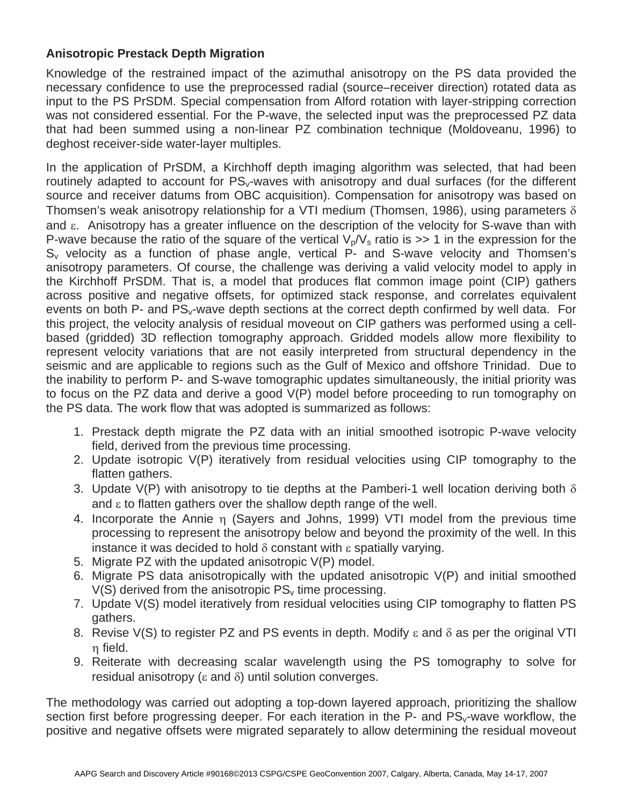## **Anisotropic Prestack Depth Migration**

Knowledge of the restrained impact of the azimuthal anisotropy on the PS data provided the necessary confidence to use the preprocessed radial (source–receiver direction) rotated data as input to the PS PrSDM. Special compensation from Alford rotation with layer-stripping correction was not considered essential. For the P-wave, the selected input was the preprocessed PZ data that had been summed using a non-linear PZ combination technique (Moldoveanu, 1996) to deghost receiver-side water-layer multiples.

In the application of PrSDM, a Kirchhoff depth imaging algorithm was selected, that had been routinely adapted to account for PS<sub>v</sub>-waves with anisotropy and dual surfaces (for the different source and receiver datums from OBC acquisition). Compensation for anisotropy was based on Thomsen's weak anisotropy relationship for a VTI medium (Thomsen, 1986), using parameters  $\delta$ and  $\varepsilon$ . Anisotropy has a greater influence on the description of the velocity for S-wave than with P-wave because the ratio of the square of the vertical  $V_p/V_s$  ratio is  $>> 1$  in the expression for the  $S_{v}$  velocity as a function of phase angle, vertical  $P$ - and S-wave velocity and Thomsen's anisotropy parameters. Of course, the challenge was deriving a valid velocity model to apply in the Kirchhoff PrSDM. That is, a model that produces flat common image point (CIP) gathers across positive and negative offsets, for optimized stack response, and correlates equivalent events on both P- and  $PS_v$ -wave depth sections at the correct depth confirmed by well data. For this project, the velocity analysis of residual moveout on CIP gathers was performed using a cellbased (gridded) 3D reflection tomography approach. Gridded models allow more flexibility to represent velocity variations that are not easily interpreted from structural dependency in the seismic and are applicable to regions such as the Gulf of Mexico and offshore Trinidad. Due to the inability to perform P- and S-wave tomographic updates simultaneously, the initial priority was to focus on the PZ data and derive a good V(P) model before proceeding to run tomography on the PS data. The work flow that was adopted is summarized as follows:

- 1. Prestack depth migrate the PZ data with an initial smoothed isotropic P-wave velocity field, derived from the previous time processing.
- 2. Update isotropic V(P) iteratively from residual velocities using CIP tomography to the flatten gathers.
- 3. Update V(P) with anisotropy to tie depths at the Pamberi-1 well location deriving both  $\delta$ and  $\epsilon$  to flatten gathers over the shallow depth range of the well.
- 4. Incorporate the Annie  $\eta$  (Sayers and Johns, 1999) VTI model from the previous time processing to represent the anisotropy below and beyond the proximity of the well. In this instance it was decided to hold  $\delta$  constant with  $\epsilon$  spatially varying.
- 5. Migrate PZ with the updated anisotropic V(P) model.
- 6. Migrate PS data anisotropically with the updated anisotropic V(P) and initial smoothed  $V(S)$  derived from the anisotropic  $PS_v$  time processing.
- 7. Update V(S) model iteratively from residual velocities using CIP tomography to flatten PS gathers.
- 8. Revise V(S) to register PZ and PS events in depth. Modify  $\varepsilon$  and  $\delta$  as per the original VTI n field.
- 9. Reiterate with decreasing scalar wavelength using the PS tomography to solve for residual anisotropy ( $\varepsilon$  and  $\delta$ ) until solution converges.

The methodology was carried out adopting a top-down layered approach, prioritizing the shallow section first before progressing deeper. For each iteration in the  $P$ - and  $PS_v$ -wave workflow, the positive and negative offsets were migrated separately to allow determining the residual moveout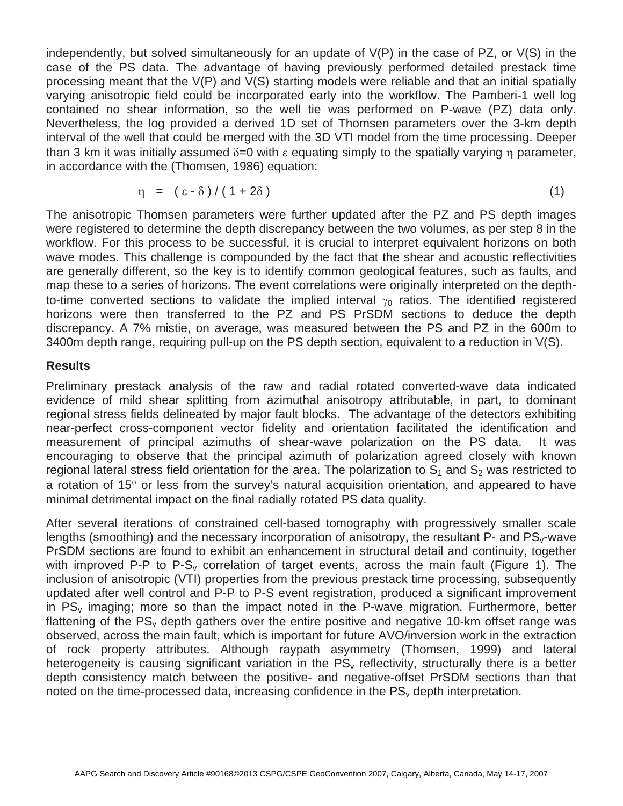independently, but solved simultaneously for an update of V(P) in the case of PZ, or V(S) in the case of the PS data. The advantage of having previously performed detailed prestack time processing meant that the V(P) and V(S) starting models were reliable and that an initial spatially varying anisotropic field could be incorporated early into the workflow. The Pamberi-1 well log contained no shear information, so the well tie was performed on P-wave (PZ) data only. Nevertheless, the log provided a derived 1D set of Thomsen parameters over the 3-km depth interval of the well that could be merged with the 3D VTI model from the time processing. Deeper than 3 km it was initially assumed  $\delta = 0$  with  $\varepsilon$  equating simply to the spatially varying n parameter, in accordance with the (Thomsen, 1986) equation:

$$
\eta = (\epsilon - \delta) / (1 + 2\delta) \tag{1}
$$

The anisotropic Thomsen parameters were further updated after the PZ and PS depth images were registered to determine the depth discrepancy between the two volumes, as per step 8 in the workflow. For this process to be successful, it is crucial to interpret equivalent horizons on both wave modes. This challenge is compounded by the fact that the shear and acoustic reflectivities are generally different, so the key is to identify common geological features, such as faults, and map these to a series of horizons. The event correlations were originally interpreted on the depthto-time converted sections to validate the implied interval  $\gamma_0$  ratios. The identified registered horizons were then transferred to the PZ and PS PrSDM sections to deduce the depth discrepancy. A 7% mistie, on average, was measured between the PS and PZ in the 600m to 3400m depth range, requiring pull-up on the PS depth section, equivalent to a reduction in V(S).

#### **Results**

Preliminary prestack analysis of the raw and radial rotated converted-wave data indicated evidence of mild shear splitting from azimuthal anisotropy attributable, in part, to dominant regional stress fields delineated by major fault blocks. The advantage of the detectors exhibiting near-perfect cross-component vector fidelity and orientation facilitated the identification and measurement of principal azimuths of shear-wave polarization on the PS data. It was encouraging to observe that the principal azimuth of polarization agreed closely with known regional lateral stress field orientation for the area. The polarization to  $S_1$  and  $S_2$  was restricted to a rotation of 15 $^{\circ}$  or less from the survey's natural acquisition orientation, and appeared to have minimal detrimental impact on the final radially rotated PS data quality.

After several iterations of constrained cell-based tomography with progressively smaller scale lengths (smoothing) and the necessary incorporation of anisotropy, the resultant  $P$ - and  $PS_v$ -wave PrSDM sections are found to exhibit an enhancement in structural detail and continuity, together with improved P-P to  $P-S_v$  correlation of target events, across the main fault (Figure 1). The inclusion of anisotropic (VTI) properties from the previous prestack time processing, subsequently updated after well control and P-P to P-S event registration, produced a significant improvement in  $PS_v$  imaging; more so than the impact noted in the P-wave migration. Furthermore, better flattening of the  $PS<sub>v</sub>$  depth gathers over the entire positive and negative 10-km offset range was observed, across the main fault, which is important for future AVO/inversion work in the extraction of rock property attributes. Although raypath asymmetry (Thomsen, 1999) and lateral heterogeneity is causing significant variation in the  $PS<sub>v</sub>$  reflectivity, structurally there is a better depth consistency match between the positive- and negative-offset PrSDM sections than that noted on the time-processed data, increasing confidence in the  $PS<sub>v</sub>$  depth interpretation.